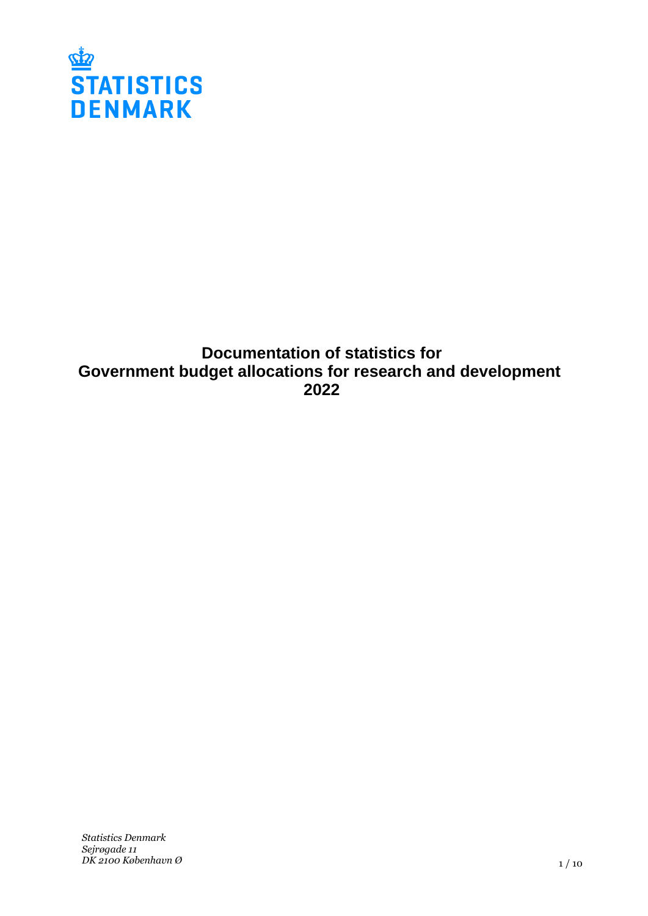

# **Documentation of statistics for Government budget allocations for research and development 2022**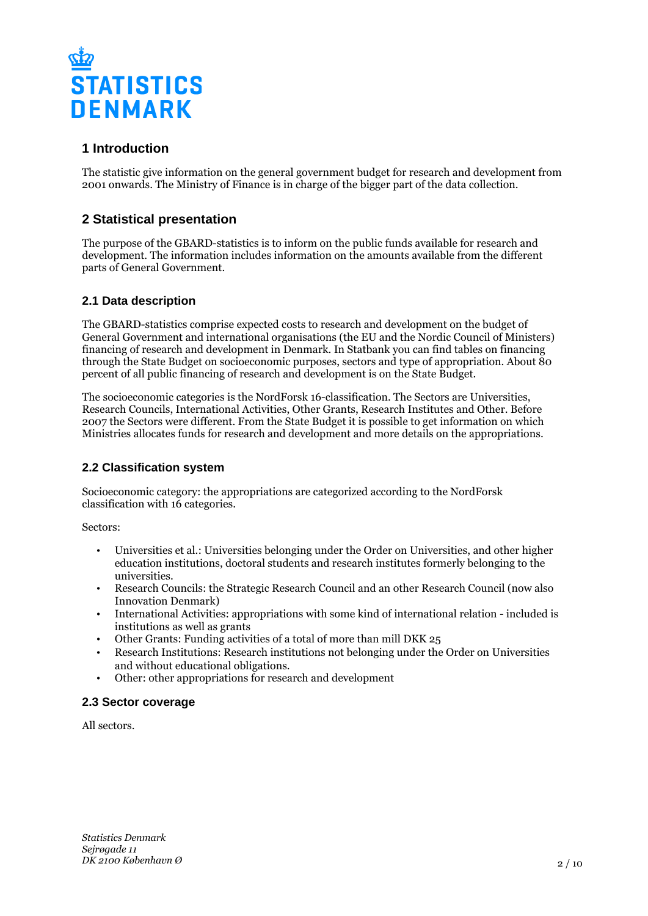

# **1 Introduction**

The statistic give information on the general government budget for research and development from 2001 onwards. The Ministry of Finance is in charge of the bigger part of the data collection.

# **2 Statistical presentation**

The purpose of the GBARD-statistics is to inform on the public funds available for research and development. The information includes information on the amounts available from the different parts of General Government.

# **2.1 Data description**

The GBARD-statistics comprise expected costs to research and development on the budget of General Government and international organisations (the EU and the Nordic Council of Ministers) financing of research and development in Denmark. In Statbank you can find tables on financing through the State Budget on socioeconomic purposes, sectors and type of appropriation. About 80 percent of all public financing of research and development is on the State Budget.

The socioeconomic categories is the NordForsk 16-classification. The Sectors are Universities, Research Councils, International Activities, Other Grants, Research Institutes and Other. Before 2007 the Sectors were different. From the State Budget it is possible to get information on which Ministries allocates funds for research and development and more details on the appropriations.

# **2.2 Classification system**

Socioeconomic category: the appropriations are categorized according to the NordForsk classification with 16 categories.

Sectors:

- Universities et al.: Universities belonging under the Order on Universities, and other higher education institutions, doctoral students and research institutes formerly belonging to the universities.
- Research Councils: the Strategic Research Council and an other Research Council (now also Innovation Denmark)
- International Activities: appropriations with some kind of international relation included is institutions as well as grants
- Other Grants: Funding activities of a total of more than mill DKK 25
- Research Institutions: Research institutions not belonging under the Order on Universities and without educational obligations.
- Other: other appropriations for research and development

#### **2.3 Sector coverage**

All sectors.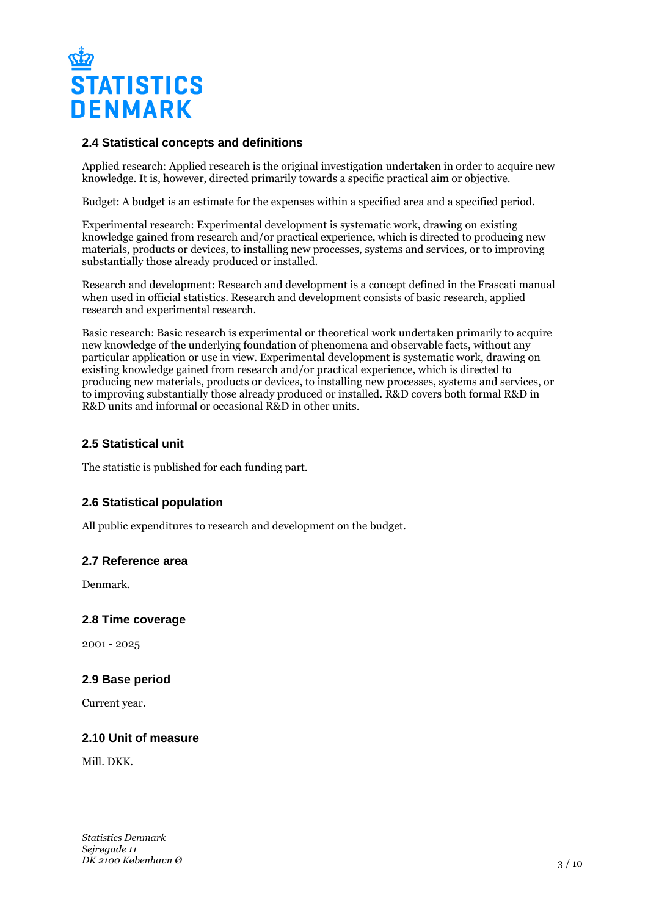

### **2.4 Statistical concepts and definitions**

Applied research: Applied research is the original investigation undertaken in order to acquire new knowledge. It is, however, directed primarily towards a specific practical aim or objective.

Budget: A budget is an estimate for the expenses within a specified area and a specified period.

Experimental research: Experimental development is systematic work, drawing on existing knowledge gained from research and/or practical experience, which is directed to producing new materials, products or devices, to installing new processes, systems and services, or to improving substantially those already produced or installed.

Research and development: Research and development is a concept defined in the Frascati manual when used in official statistics. Research and development consists of basic research, applied research and experimental research.

Basic research: Basic research is experimental or theoretical work undertaken primarily to acquire new knowledge of the underlying foundation of phenomena and observable facts, without any particular application or use in view. Experimental development is systematic work, drawing on existing knowledge gained from research and/or practical experience, which is directed to producing new materials, products or devices, to installing new processes, systems and services, or to improving substantially those already produced or installed. R&D covers both formal R&D in R&D units and informal or occasional R&D in other units.

#### **2.5 Statistical unit**

The statistic is published for each funding part.

# **2.6 Statistical population**

All public expenditures to research and development on the budget.

#### **2.7 Reference area**

Denmark.

#### **2.8 Time coverage**

2001 - 2025

#### **2.9 Base period**

Current year.

# **2.10 Unit of measure**

Mill. DKK.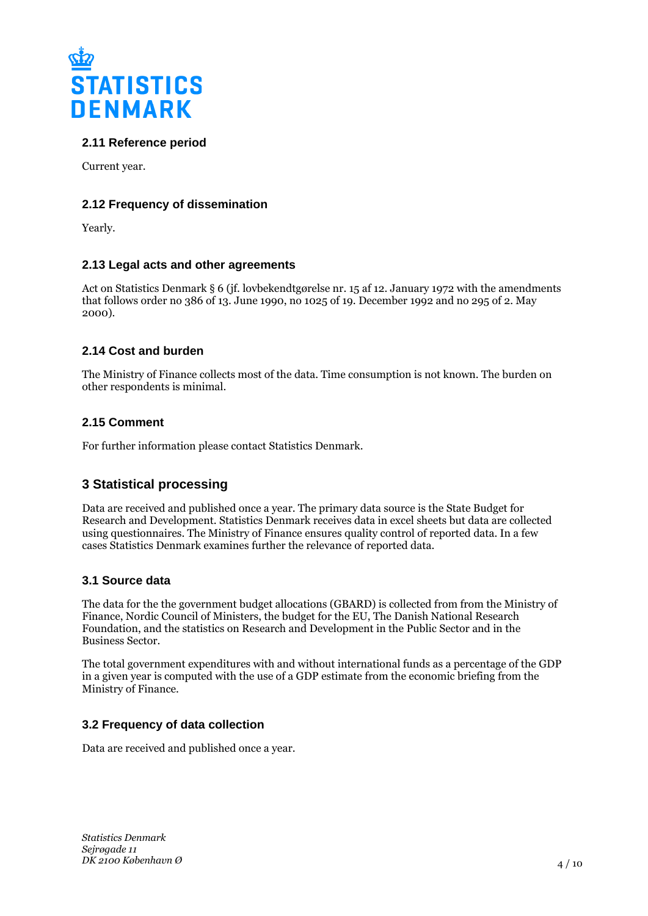

# **2.11 Reference period**

Current year.

# **2.12 Frequency of dissemination**

Yearly.

# **2.13 Legal acts and other agreements**

Act on Statistics Denmark § 6 (jf. lovbekendtgørelse nr. 15 af 12. January 1972 with the amendments that follows order no 386 of 13. June 1990, no 1025 of 19. December 1992 and no 295 of 2. May 2000).

# **2.14 Cost and burden**

The Ministry of Finance collects most of the data. Time consumption is not known. The burden on other respondents is minimal.

# **2.15 Comment**

For further information please contact Statistics Denmark.

# **3 Statistical processing**

Data are received and published once a year. The primary data source is the State Budget for Research and Development. Statistics Denmark receives data in excel sheets but data are collected using questionnaires. The Ministry of Finance ensures quality control of reported data. In a few cases Statistics Denmark examines further the relevance of reported data.

# **3.1 Source data**

The data for the the government budget allocations (GBARD) is collected from from the Ministry of Finance, Nordic Council of Ministers, the budget for the EU, The Danish National Research Foundation, and the statistics on Research and Development in the Public Sector and in the Business Sector.

The total government expenditures with and without international funds as a percentage of the GDP in a given year is computed with the use of a GDP estimate from the economic briefing from the Ministry of Finance.

# **3.2 Frequency of data collection**

Data are received and published once a year.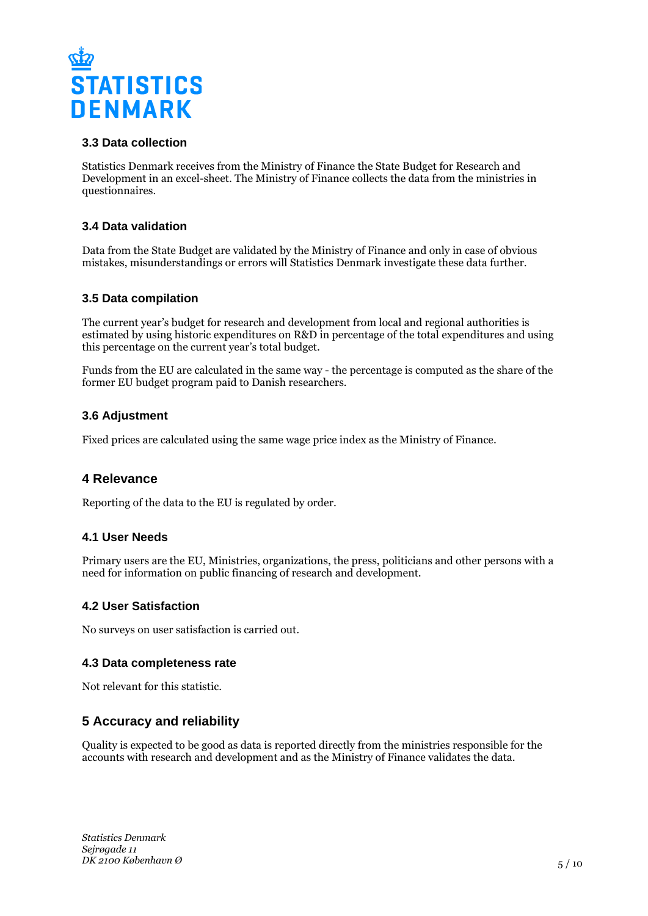

# **3.3 Data collection**

Statistics Denmark receives from the Ministry of Finance the State Budget for Research and Development in an excel-sheet. The Ministry of Finance collects the data from the ministries in questionnaires.

# **3.4 Data validation**

Data from the State Budget are validated by the Ministry of Finance and only in case of obvious mistakes, misunderstandings or errors will Statistics Denmark investigate these data further.

# **3.5 Data compilation**

The current year's budget for research and development from local and regional authorities is estimated by using historic expenditures on R&D in percentage of the total expenditures and using this percentage on the current year's total budget.

Funds from the EU are calculated in the same way - the percentage is computed as the share of the former EU budget program paid to Danish researchers.

#### **3.6 Adjustment**

Fixed prices are calculated using the same wage price index as the Ministry of Finance.

# **4 Relevance**

Reporting of the data to the EU is regulated by order.

#### **4.1 User Needs**

Primary users are the EU, Ministries, organizations, the press, politicians and other persons with a need for information on public financing of research and development.

# **4.2 User Satisfaction**

No surveys on user satisfaction is carried out.

#### **4.3 Data completeness rate**

Not relevant for this statistic.

# **5 Accuracy and reliability**

Quality is expected to be good as data is reported directly from the ministries responsible for the accounts with research and development and as the Ministry of Finance validates the data.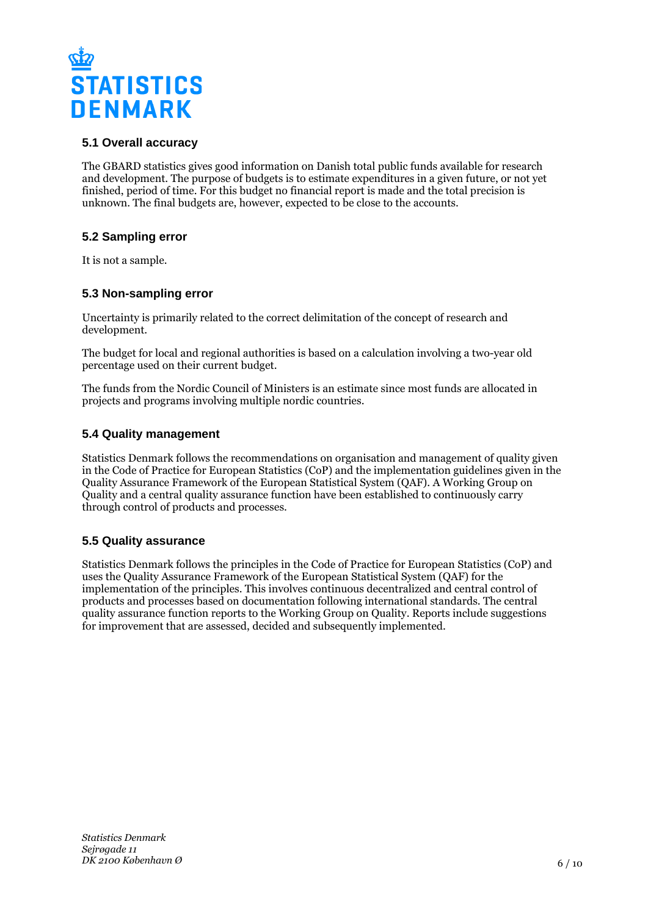

# **5.1 Overall accuracy**

The GBARD statistics gives good information on Danish total public funds available for research and development. The purpose of budgets is to estimate expenditures in a given future, or not yet finished, period of time. For this budget no financial report is made and the total precision is unknown. The final budgets are, however, expected to be close to the accounts.

# **5.2 Sampling error**

It is not a sample.

# **5.3 Non-sampling error**

Uncertainty is primarily related to the correct delimitation of the concept of research and development.

The budget for local and regional authorities is based on a calculation involving a two-year old percentage used on their current budget.

The funds from the Nordic Council of Ministers is an estimate since most funds are allocated in projects and programs involving multiple nordic countries.

#### **5.4 Quality management**

Statistics Denmark follows the recommendations on organisation and management of quality given in the Code of Practice for European Statistics (CoP) and the implementation guidelines given in the Quality Assurance Framework of the European Statistical System (QAF). A Working Group on Quality and a central quality assurance function have been established to continuously carry through control of products and processes.

# **5.5 Quality assurance**

Statistics Denmark follows the principles in the Code of Practice for European Statistics (CoP) and uses the Quality Assurance Framework of the European Statistical System (QAF) for the implementation of the principles. This involves continuous decentralized and central control of products and processes based on documentation following international standards. The central quality assurance function reports to the Working Group on Quality. Reports include suggestions for improvement that are assessed, decided and subsequently implemented.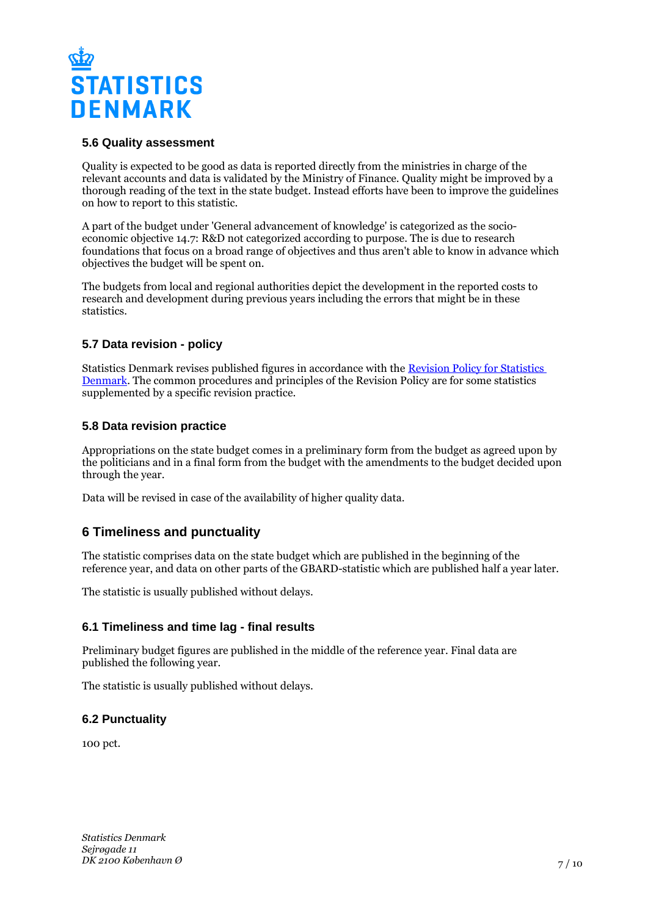

# **5.6 Quality assessment**

Quality is expected to be good as data is reported directly from the ministries in charge of the relevant accounts and data is validated by the Ministry of Finance. Quality might be improved by a thorough reading of the text in the state budget. Instead efforts have been to improve the guidelines on how to report to this statistic.

A part of the budget under 'General advancement of knowledge' is categorized as the socioeconomic objective 14.7: R&D not categorized according to purpose. The is due to research foundations that focus on a broad range of objectives and thus aren't able to know in advance which objectives the budget will be spent on.

The budgets from local and regional authorities depict the development in the reported costs to research and development during previous years including the errors that might be in these statistics.

# **5.7 Data revision - policy**

Statistics Denmark revises published figures in accordance with the [Revision Policy for Statistics](https://www.dst.dk/en/OmDS/strategi-og-kvalitet/revisionspolitik.aspx)  [Denmark.](https://www.dst.dk/en/OmDS/strategi-og-kvalitet/revisionspolitik.aspx) The common procedures and principles of the Revision Policy are for some statistics supplemented by a specific revision practice.

#### **5.8 Data revision practice**

Appropriations on the state budget comes in a preliminary form from the budget as agreed upon by the politicians and in a final form from the budget with the amendments to the budget decided upon through the year.

Data will be revised in case of the availability of higher quality data.

# **6 Timeliness and punctuality**

The statistic comprises data on the state budget which are published in the beginning of the reference year, and data on other parts of the GBARD-statistic which are published half a year later.

The statistic is usually published without delays.

#### **6.1 Timeliness and time lag - final results**

Preliminary budget figures are published in the middle of the reference year. Final data are published the following year.

The statistic is usually published without delays.

# **6.2 Punctuality**

100 pct.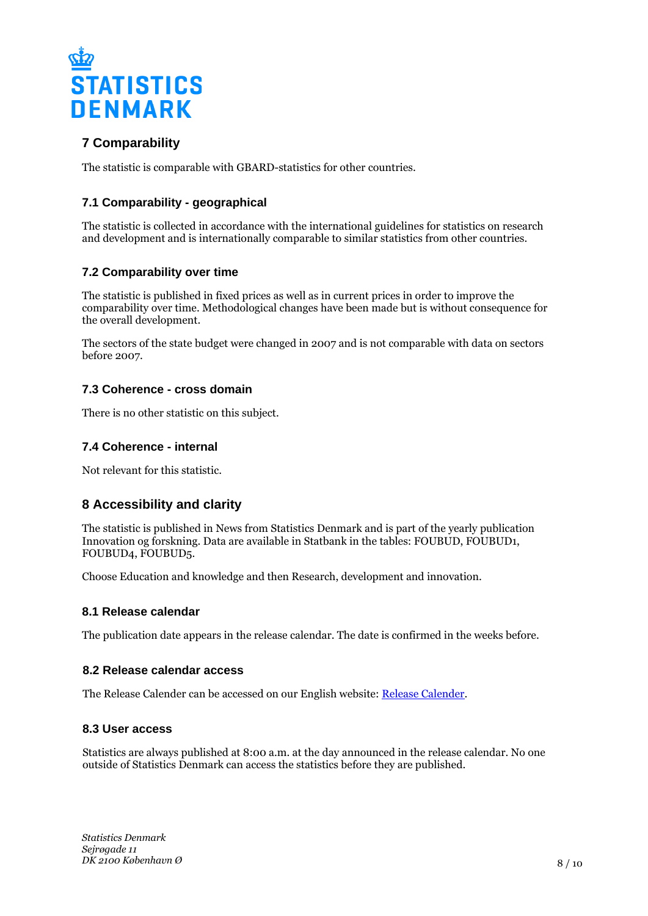

# **7 Comparability**

The statistic is comparable with GBARD-statistics for other countries.

# **7.1 Comparability - geographical**

The statistic is collected in accordance with the international guidelines for statistics on research and development and is internationally comparable to similar statistics from other countries.

# **7.2 Comparability over time**

The statistic is published in fixed prices as well as in current prices in order to improve the comparability over time. Methodological changes have been made but is without consequence for the overall development.

The sectors of the state budget were changed in 2007 and is not comparable with data on sectors before 2007.

# **7.3 Coherence - cross domain**

There is no other statistic on this subject.

#### **7.4 Coherence - internal**

Not relevant for this statistic.

# **8 Accessibility and clarity**

The statistic is published in News from Statistics Denmark and is part of the yearly publication Innovation og forskning. Data are available in Statbank in the tables: FOUBUD, FOUBUD1, FOUBUD4, FOUBUD5.

Choose Education and knowledge and then Research, development and innovation.

#### **8.1 Release calendar**

The publication date appears in the release calendar. The date is confirmed in the weeks before.

#### **8.2 Release calendar access**

The Release Calender can be accessed on our English website: [Release Calender.](https://www.dst.dk/en/Statistik/offentliggoerelser.aspx)

#### **8.3 User access**

Statistics are always published at 8:00 a.m. at the day announced in the release calendar. No one outside of Statistics Denmark can access the statistics before they are published.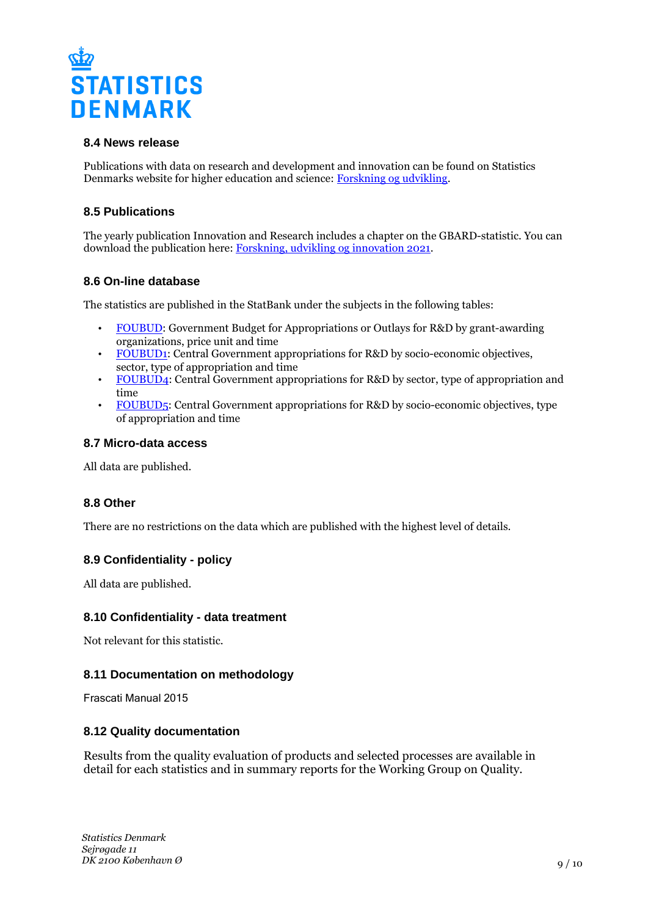

# **8.4 News release**

Publications with data on research and development and innovation can be found on Statistics Denmarks website for higher education and science: [Forskning og udvikling](https://www.dst.dk/da/Statistik/emner/forskning-udvikling-og-innovation/forskning-og-udvikling.aspx).

# **8.5 Publications**

The yearly publication Innovation and Research includes a chapter on the GBARD-statistic. You can download the publication here: [Forskning, udvikling og innovation 2021.](https://www.dst.dk/da/Statistik/nyheder-analyser-publ/Publikationer/VisPub?cid=31517)

# **8.6 On-line database**

The statistics are published in the StatBank under the subjects in the following tables:

- [FOUBUD](https://www.statbank.dk/FOUBUD): Government Budget for Appropriations or Outlays for R&D by grant-awarding organizations, price unit and time
- [FOUBUD1:](https://www.statbank.dk/FOUBUD1) Central Government appropriations for R&D by socio-economic objectives, sector, type of appropriation and time
- [FOUBUD4](https://www.statbank.dk/FOUBUD4): Central Government appropriations for R&D by sector, type of appropriation and time
- [FOUBUD5:](https://www.statbank.dk/FOUBUD5) Central Government appropriations for R&D by socio-economic objectives, type of appropriation and time

#### **8.7 Micro-data access**

All data are published.

# **8.8 Other**

There are no restrictions on the data which are published with the highest level of details.

# **8.9 Confidentiality - policy**

All data are published.

#### **8.10 Confidentiality - data treatment**

Not relevant for this statistic.

#### **8.11 Documentation on methodology**

Frascati Manual 2015

#### **8.12 Quality documentation**

Results from the quality evaluation of products and selected processes are available in detail for each statistics and in summary reports for the Working Group on Quality.